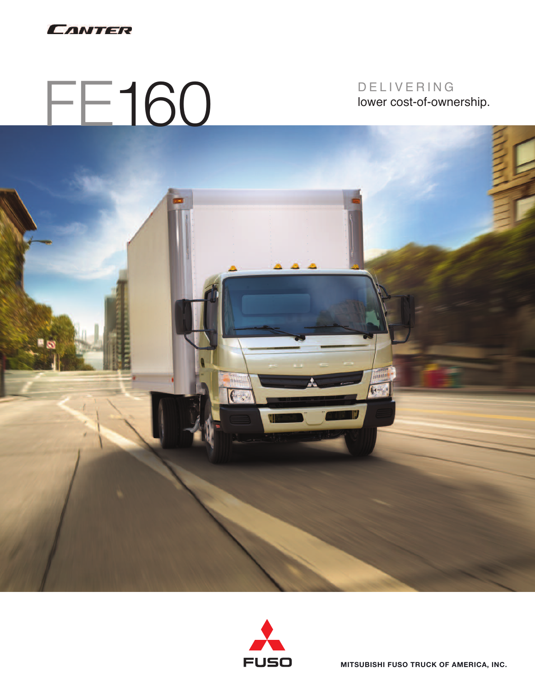

FE160

D E L I V E R I N G lower cost-of-ownership.